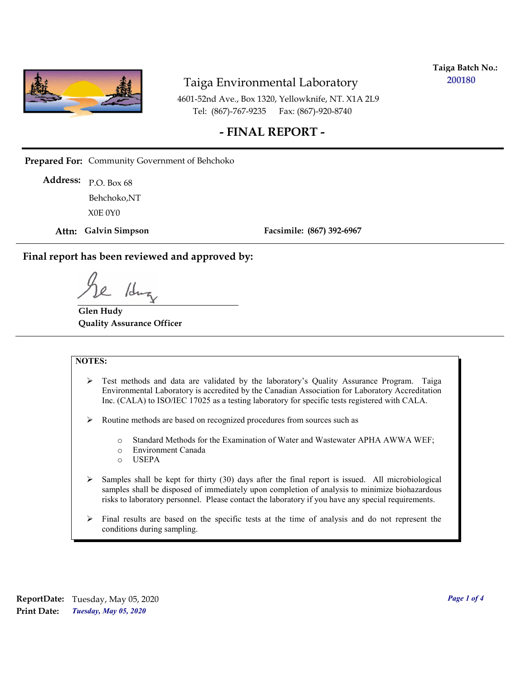

**Taiga Batch No.: 200180**

4601-52nd Ave., Box 1320, Yellowknife, NT. X1A 2L9 Tel: (867)-767-9235 Fax: (867)-920-8740

## **- FINAL REPORT -**

**Prepared For:** Community Government of Behchoko

P.O. Box 68 **Address:** X0E 0Y0 Behchoko,NT

**Attn: Galvin Simpson**

**Facsimile: (867) 392-6967**

**Final report has been reviewed and approved by:**

1dr

**Glen Hudy Quality Assurance Officer**

#### **NOTES:**

- $\triangleright$  Test methods and data are validated by the laboratory's Quality Assurance Program. Taiga Environmental Laboratory is accredited by the Canadian Association for Laboratory Accreditation Inc. (CALA) to ISO/IEC 17025 as a testing laboratory for specific tests registered with CALA.
- Routine methods are based on recognized procedures from sources such as
	- o Standard Methods for the Examination of Water and Wastewater APHA AWWA WEF;
	- o Environment Canada
	- o USEPA
- $\triangleright$  Samples shall be kept for thirty (30) days after the final report is issued. All microbiological samples shall be disposed of immediately upon completion of analysis to minimize biohazardous risks to laboratory personnel. Please contact the laboratory if you have any special requirements.
- $\triangleright$  Final results are based on the specific tests at the time of analysis and do not represent the conditions during sampling.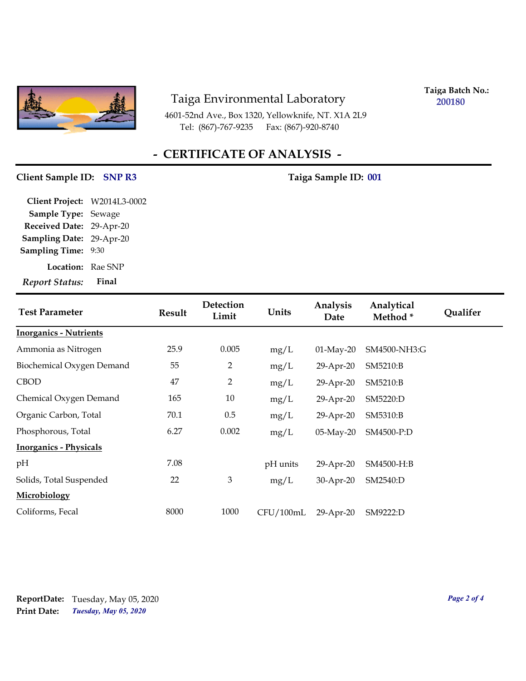

4601-52nd Ave., Box 1320, Yellowknife, NT. X1A 2L9 Tel: (867)-767-9235 Fax: (867)-920-8740

**Taiga Batch No.: 200180**

# **- CERTIFICATE OF ANALYSIS -**

## **Client Sample ID:** SNP R3 Taiga Sample ID: 001

| <b>Report Status:</b>        | Final |
|------------------------------|-------|
| <b>Location:</b> Rae SNP     |       |
| <b>Sampling Time: 9:30</b>   |       |
| Sampling Date: 29-Apr-20     |       |
| Received Date: 29-Apr-20     |       |
| Sample Type: Sewage          |       |
| Client Project: W2014L3-0002 |       |

| <b>Test Parameter</b>         | <b>Result</b> | Detection<br>Limit | Units     | Analysis<br>Date | Analytical<br>Method* | <b>Qualifer</b> |
|-------------------------------|---------------|--------------------|-----------|------------------|-----------------------|-----------------|
| <b>Inorganics - Nutrients</b> |               |                    |           |                  |                       |                 |
| Ammonia as Nitrogen           | 25.9          | 0.005              | mg/L      | $01-May-20$      | SM4500-NH3:G          |                 |
| Biochemical Oxygen Demand     | 55            | 2                  | mg/L      | 29-Apr-20        | SM5210:B              |                 |
| <b>CBOD</b>                   | 47            | $\overline{2}$     | mg/L      | 29-Apr-20        | SM5210:B              |                 |
| Chemical Oxygen Demand        | 165           | 10                 | mg/L      | 29-Apr-20        | SM5220:D              |                 |
| Organic Carbon, Total         | 70.1          | 0.5                | mg/L      | 29-Apr-20        | SM5310:B              |                 |
| Phosphorous, Total            | 6.27          | 0.002              | mg/L      | $05$ -May-20     | SM4500-P:D            |                 |
| <b>Inorganics - Physicals</b> |               |                    |           |                  |                       |                 |
| pH                            | 7.08          |                    | pH units  | 29-Apr-20        | SM4500-H:B            |                 |
| Solids, Total Suspended       | 22            | $\mathfrak{Z}$     | mg/L      | 30-Apr-20        | SM2540:D              |                 |
| Microbiology                  |               |                    |           |                  |                       |                 |
| Coliforms, Fecal              | 8000          | 1000               | CFU/100mL | 29-Apr-20        | SM9222:D              |                 |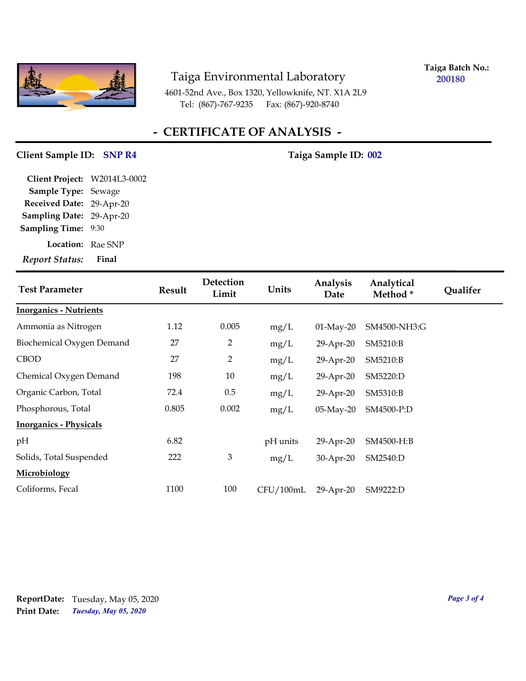

**Taiga Batch No.: 200180**

4601-52nd Ave., Box 1320, Yellowknife, NT. X1A 2L9 Tel: (867)-767-9235 Fax: (867)-920-8740

# **- CERTIFICATE OF ANALYSIS -**

### Client Sample ID: SNP R4 Taiga Sample ID: 002

| Client Project: W2014L3-0002 |       |
|------------------------------|-------|
| <b>Sample Type: Sewage</b>   |       |
| Received Date: 29-Apr-20     |       |
| Sampling Date: 29-Apr-20     |       |
| <b>Sampling Time:</b>        | 9:30  |
| <b>Location:</b> Rae SNP     |       |
| <b>Report Status:</b>        | Final |

| <b>Test Parameter</b>         | <b>Result</b> | Detection<br>Limit          | Units     | Analysis<br>Date | Analytical<br>Method* | Qualifer |
|-------------------------------|---------------|-----------------------------|-----------|------------------|-----------------------|----------|
| <b>Inorganics - Nutrients</b> |               |                             |           |                  |                       |          |
| Ammonia as Nitrogen           | 1.12          | 0.005                       | mg/L      | $01-May-20$      | SM4500-NH3:G          |          |
| Biochemical Oxygen Demand     | 27            | 2                           | mg/L      | 29-Apr-20        | SM5210:B              |          |
| <b>CBOD</b>                   | 27            | $\overline{2}$              | mg/L      | 29-Apr-20        | SM5210:B              |          |
| Chemical Oxygen Demand        | 198           | 10                          | mg/L      | 29-Apr-20        | SM5220:D              |          |
| Organic Carbon, Total         | 72.4          | 0.5                         | mg/L      | 29-Apr-20        | SM5310:B              |          |
| Phosphorous, Total            | 0.805         | 0.002                       | mg/L      | $05$ -May-20     | SM4500-P:D            |          |
| <b>Inorganics - Physicals</b> |               |                             |           |                  |                       |          |
| pH                            | 6.82          |                             | pH units  | 29-Apr-20        | SM4500-H:B            |          |
| Solids, Total Suspended       | 222           | $\ensuremath{\mathfrak{Z}}$ | mg/L      | 30-Apr-20        | SM2540:D              |          |
| <b>Microbiology</b>           |               |                             |           |                  |                       |          |
| Coliforms, Fecal              | 1100          | 100                         | CFU/100mL | 29-Apr-20        | SM9222:D              |          |